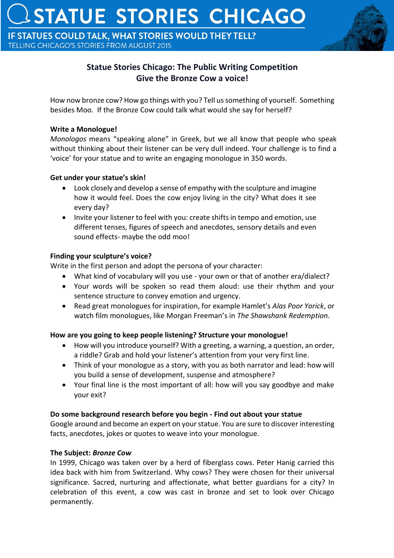IF STATUES COULD TALK, WHAT STORIES WOULD THEY TELL? TELLING CHICAGO'S STORIES FROM AUGUST 2015



# **Statue Stories Chicago: The Public Writing Competition Give the Bronze Cow a voice!**

How now bronze cow? How go things with you? Tell us something of yourself. Something besides Moo. If the Bronze Cow could talk what would she say for herself?

### **Write a Monologue!**

*Monologos* means "speaking alone" in Greek, but we all know that people who speak without thinking about their listener can be very dull indeed. Your challenge is to find a 'voice' for your statue and to write an engaging monologue in 350 words.

# **Get under your statue's skin!**

- Look closely and develop a sense of empathy with the sculpture and imagine how it would feel. Does the cow enjoy living in the city? What does it see every day?
- Invite your listener to feel with you: create shifts in tempo and emotion, use different tenses, figures of speech and anecdotes, sensory details and even sound effects- maybe the odd moo!

#### **Finding your sculpture's voice?**

Write in the first person and adopt the persona of your character:

- What kind of vocabulary will you use your own or that of another era/dialect?
- Your words will be spoken so read them aloud: use their rhythm and your sentence structure to convey emotion and urgency.
- Read great monologues for inspiration, for example Hamlet's *Alas Poor Yorick*, or watch film monologues, like Morgan Freeman's in *The Shawshank Redemption*.

# **How are you going to keep people listening? Structure your monologue!**

- How will you introduce yourself? With a greeting, a warning, a question, an order, a riddle? Grab and hold your listener's attention from your very first line.
- Think of your monologue as a story, with you as both narrator and lead: how will you build a sense of development, suspense and atmosphere?
- Your final line is the most important of all: how will you say goodbye and make your exit?

# **Do some background research before you begin - Find out about your statue**

Google around and become an expert on your statue. You are sure to discover interesting facts, anecdotes, jokes or quotes to weave into your monologue.

# **The Subject:** *Bronze Cow*

In 1999, Chicago was taken over by a herd of fiberglass cows. Peter Hanig carried this idea back with him from Switzerland. Why cows? They were chosen for their universal significance. Sacred, nurturing and affectionate, what better guardians for a city? In celebration of this event, a cow was cast in bronze and set to look over Chicago permanently.